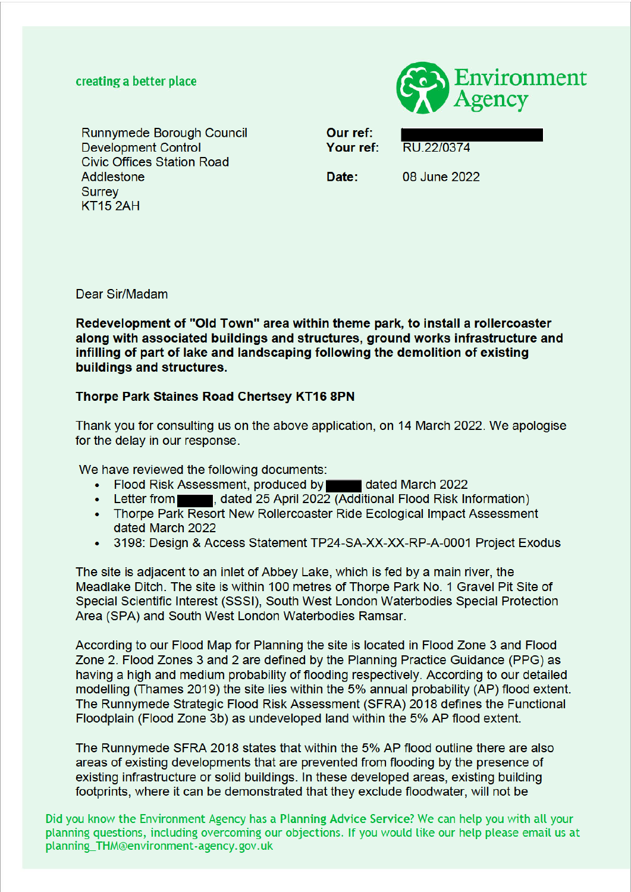#### creating a better place



Runnymede Borough Council **Development Control Civic Offices Station Road** Addlestone **Surrey**  $KT152AH$ 

Our ref: Your ref:

RU 22/0374

Date:

08 June 2022

Dear Sir/Madam

Redevelopment of "Old Town" area within theme park, to install a rollercoaster along with associated buildings and structures, ground works infrastructure and infilling of part of lake and landscaping following the demolition of existing buildings and structures.

#### **Thorpe Park Staines Road Chertsey KT16 8PN**

Thank you for consulting us on the above application, on 14 March 2022. We apologise for the delay in our response.

We have reviewed the following documents:

- Flood Risk Assessment, produced by **Theory Address Hated March 2022**
- Letter from **the studies of April 2022** (Additional Flood Risk Information)
- Thorpe Park Resort New Rollercoaster Ride Ecological Impact Assessment dated March 2022
- 3198: Design & Access Statement TP24-SA-XX-XX-RP-A-0001 Project Exodus

The site is adjacent to an inlet of Abbey Lake, which is fed by a main river, the Meadlake Ditch. The site is within 100 metres of Thorpe Park No. 1 Gravel Pit Site of Special Scientific Interest (SSSI), South West London Waterbodies Special Protection Area (SPA) and South West London Waterbodies Ramsar.

According to our Flood Map for Planning the site is located in Flood Zone 3 and Flood Zone 2. Flood Zones 3 and 2 are defined by the Planning Practice Guidance (PPG) as having a high and medium probability of flooding respectively. According to our detailed modelling (Thames 2019) the site lies within the 5% annual probability (AP) flood extent. The Runnymede Strategic Flood Risk Assessment (SFRA) 2018 defines the Functional Floodplain (Flood Zone 3b) as undeveloped land within the 5% AP flood extent.

The Runnymede SFRA 2018 states that within the 5% AP flood outline there are also areas of existing developments that are prevented from flooding by the presence of existing infrastructure or solid buildings. In these developed areas, existing building footprints, where it can be demonstrated that they exclude floodwater, will not be

Did you know the Environment Agency has a Planning Advice Service? We can help you with all your planning questions, including overcoming our objections. If you would like our help please email us at planning\_THM@environment-agency.gov.uk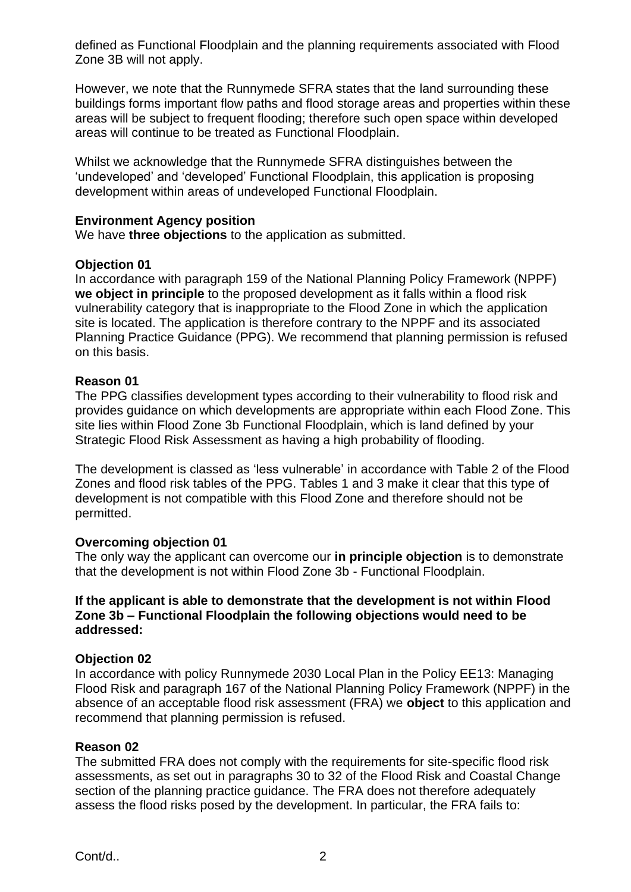defined as Functional Floodplain and the planning requirements associated with Flood Zone 3B will not apply.

However, we note that the Runnymede SFRA states that the land surrounding these buildings forms important flow paths and flood storage areas and properties within these areas will be subject to frequent flooding; therefore such open space within developed areas will continue to be treated as Functional Floodplain.

Whilst we acknowledge that the Runnymede SFRA distinguishes between the 'undeveloped' and 'developed' Functional Floodplain, this application is proposing development within areas of undeveloped Functional Floodplain.

#### **Environment Agency position**

We have **three objections** to the application as submitted.

#### **Objection 01**

In accordance with paragraph 159 of the National Planning Policy Framework (NPPF) **we object in principle** to the proposed development as it falls within a flood risk vulnerability category that is inappropriate to the Flood Zone in which the application site is located. The application is therefore contrary to the NPPF and its associated Planning Practice Guidance (PPG). We recommend that planning permission is refused on this basis.

### **Reason 01**

The PPG classifies development types according to their vulnerability to flood risk and provides guidance on which developments are appropriate within each Flood Zone. This site lies within Flood Zone 3b Functional Floodplain, which is land defined by your Strategic Flood Risk Assessment as having a high probability of flooding.

The development is classed as 'less vulnerable' in accordance with Table 2 of the Flood Zones and flood risk tables of the PPG. Tables 1 and 3 make it clear that this type of development is not compatible with this Flood Zone and therefore should not be permitted.

### **Overcoming objection 01**

The only way the applicant can overcome our **in principle objection** is to demonstrate that the development is not within Flood Zone 3b - Functional Floodplain.

#### **If the applicant is able to demonstrate that the development is not within Flood Zone 3b – Functional Floodplain the following objections would need to be addressed:**

### **Objection 02**

In accordance with policy Runnymede 2030 Local Plan in the Policy EE13: Managing Flood Risk and paragraph 167 of the National Planning Policy Framework (NPPF) in the absence of an acceptable flood risk assessment (FRA) we **object** to this application and recommend that planning permission is refused.

#### **Reason 02**

The submitted FRA does not comply with the requirements for site-specific flood risk assessments, as set out in paragraphs 30 to 32 of the Flood Risk and Coastal Change section of the planning practice guidance. The FRA does not therefore adequately assess the flood risks posed by the development. In particular, the FRA fails to: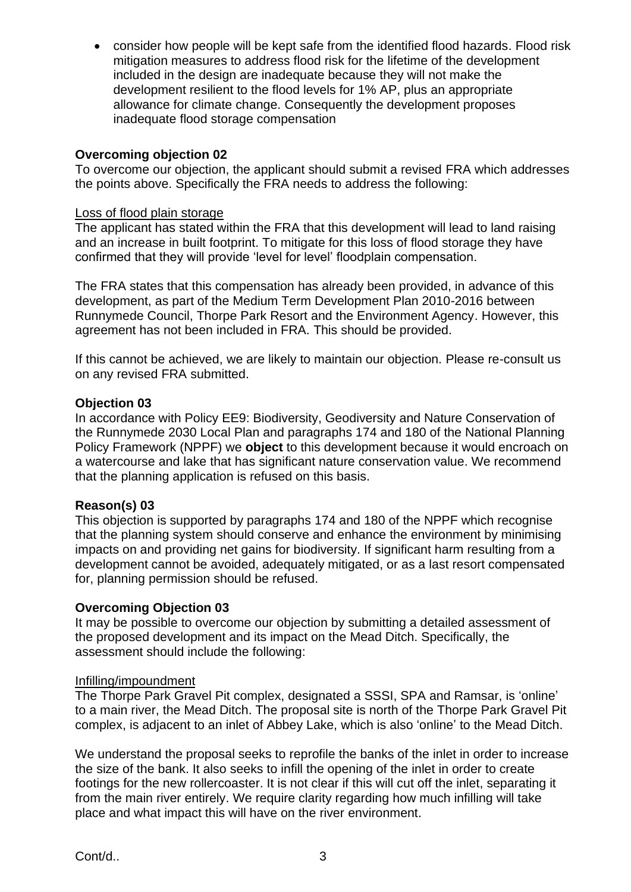• consider how people will be kept safe from the identified flood hazards. Flood risk mitigation measures to address flood risk for the lifetime of the development included in the design are inadequate because they will not make the development resilient to the flood levels for 1% AP, plus an appropriate allowance for climate change. Consequently the development proposes inadequate flood storage compensation

# **Overcoming objection 02**

To overcome our objection, the applicant should submit a revised FRA which addresses the points above. Specifically the FRA needs to address the following:

### Loss of flood plain storage

The applicant has stated within the FRA that this development will lead to land raising and an increase in built footprint. To mitigate for this loss of flood storage they have confirmed that they will provide 'level for level' floodplain compensation.

The FRA states that this compensation has already been provided, in advance of this development, as part of the Medium Term Development Plan 2010-2016 between Runnymede Council, Thorpe Park Resort and the Environment Agency. However, this agreement has not been included in FRA. This should be provided.

If this cannot be achieved, we are likely to maintain our objection. Please re-consult us on any revised FRA submitted.

### **Objection 03**

In accordance with Policy EE9: Biodiversity, Geodiversity and Nature Conservation of the Runnymede 2030 Local Plan and paragraphs 174 and 180 of the National Planning Policy Framework (NPPF) we **object** to this development because it would encroach on a watercourse and lake that has significant nature conservation value. We recommend that the planning application is refused on this basis.

### **Reason(s) 03**

This objection is supported by paragraphs 174 and 180 of the NPPF which recognise that the planning system should conserve and enhance the environment by minimising impacts on and providing net gains for biodiversity. If significant harm resulting from a development cannot be avoided, adequately mitigated, or as a last resort compensated for, planning permission should be refused.

### **Overcoming Objection 03**

It may be possible to overcome our objection by submitting a detailed assessment of the proposed development and its impact on the Mead Ditch. Specifically, the assessment should include the following:

### Infilling/impoundment

The Thorpe Park Gravel Pit complex, designated a SSSI, SPA and Ramsar, is 'online' to a main river, the Mead Ditch. The proposal site is north of the Thorpe Park Gravel Pit complex, is adjacent to an inlet of Abbey Lake, which is also 'online' to the Mead Ditch.

We understand the proposal seeks to reprofile the banks of the inlet in order to increase the size of the bank. It also seeks to infill the opening of the inlet in order to create footings for the new rollercoaster. It is not clear if this will cut off the inlet, separating it from the main river entirely. We require clarity regarding how much infilling will take place and what impact this will have on the river environment.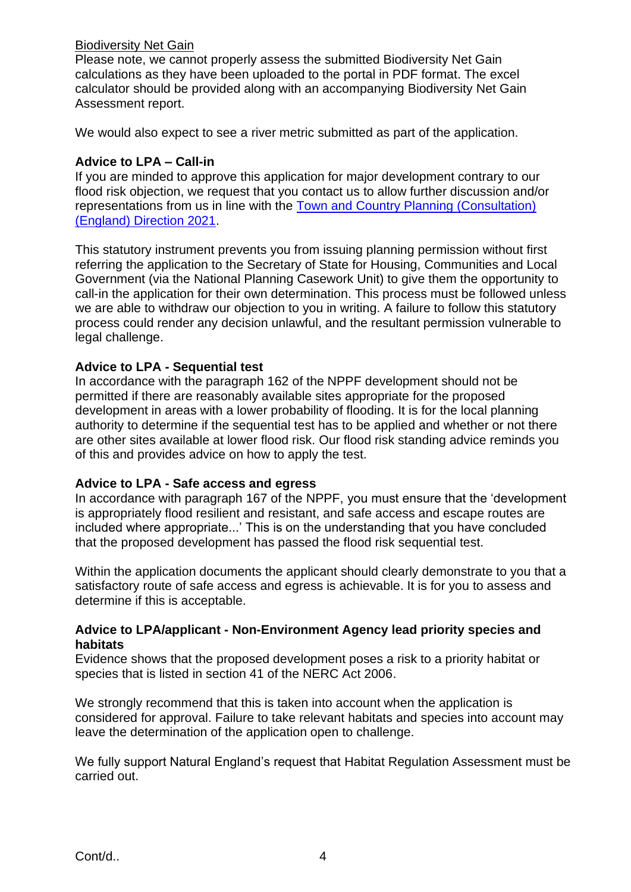### Biodiversity Net Gain

Please note, we cannot properly assess the submitted Biodiversity Net Gain calculations as they have been uploaded to the portal in PDF format. The excel calculator should be provided along with an accompanying Biodiversity Net Gain Assessment report.

We would also expect to see a river metric submitted as part of the application.

### **Advice to LPA – Call-in**

If you are minded to approve this application for major development contrary to our flood risk objection, we request that you contact us to allow further discussion and/or representations from us in line with the Town and Country Planning (Consultation) (England) Direction 2021.

This statutory instrument prevents you from issuing planning permission without first referring the application to the Secretary of State for Housing, Communities and Local Government (via the National Planning Casework Unit) to give them the opportunity to call-in the application for their own determination. This process must be followed unless we are able to withdraw our objection to you in writing. A failure to follow this statutory process could render any decision unlawful, and the resultant permission vulnerable to legal challenge.

### **Advice to LPA - Sequential test**

In accordance with the paragraph 162 of the NPPF development should not be permitted if there are reasonably available sites appropriate for the proposed development in areas with a lower probability of flooding. It is for the local planning authority to determine if the sequential test has to be applied and whether or not there are other sites available at lower flood risk. Our flood risk standing advice reminds you of this and provides advice on how to apply the test.

### **Advice to LPA - Safe access and egress**

In accordance with paragraph 167 of the NPPF, you must ensure that the 'development is appropriately flood resilient and resistant, and safe access and escape routes are included where appropriate...' This is on the understanding that you have concluded that the proposed development has passed the flood risk sequential test.

Within the application documents the applicant should clearly demonstrate to you that a satisfactory route of safe access and egress is achievable. It is for you to assess and determine if this is acceptable.

# **Advice to LPA/applicant - Non-Environment Agency lead priority species and habitats**

Evidence shows that the proposed development poses a risk to a priority habitat or species that is listed in section 41 of the NERC Act 2006.

We strongly recommend that this is taken into account when the application is considered for approval. Failure to take relevant habitats and species into account may leave the determination of the application open to challenge.

We fully support Natural England's request that Habitat Regulation Assessment must be carried out.